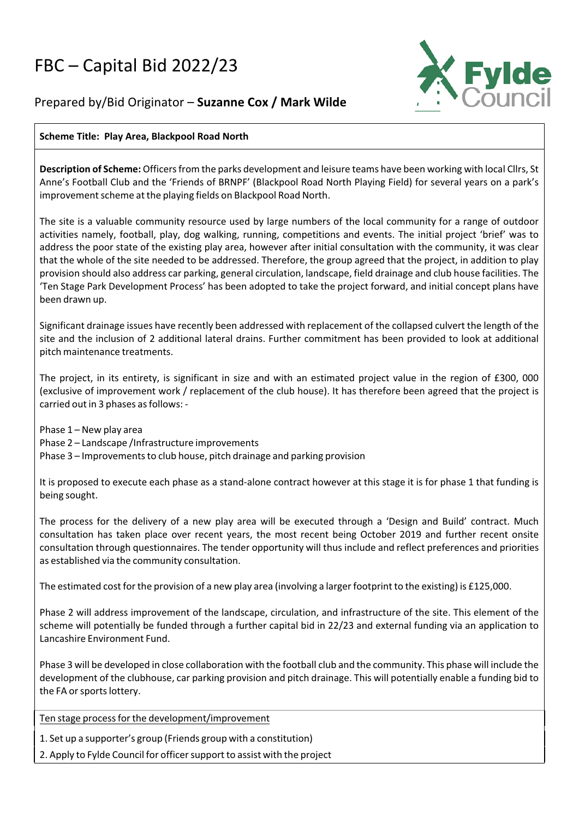# FBC – Capital Bid 2022/23



# Prepared by/Bid Originator – **Suzanne Cox / Mark Wilde**

## **Scheme Title: Play Area, Blackpool Road North**

**Description of Scheme:** Officersfrom the parks development and leisure teams have been working with local Cllrs, St Anne's Football Club and the 'Friends of BRNPF' (Blackpool Road North Playing Field) for several years on a park's improvement scheme at the playing fields on Blackpool Road North.

The site is a valuable community resource used by large numbers of the local community for a range of outdoor activities namely, football, play, dog walking, running, competitions and events. The initial project 'brief' was to address the poor state of the existing play area, however after initial consultation with the community, it was clear that the whole of the site needed to be addressed. Therefore, the group agreed that the project, in addition to play provision should also address car parking, general circulation, landscape, field drainage and club house facilities. The 'Ten Stage Park Development Process' has been adopted to take the project forward, and initial concept plans have been drawn up.

Significant drainage issues have recently been addressed with replacement of the collapsed culvert the length of the site and the inclusion of 2 additional lateral drains. Further commitment has been provided to look at additional pitch maintenance treatments.

The project, in its entirety, is significant in size and with an estimated project value in the region of £300, 000 (exclusive of improvement work / replacement of the club house). It has therefore been agreed that the project is carried out in 3 phases as follows: -

Phase 1 – New play area Phase 2 – Landscape /Infrastructure improvements Phase 3 – Improvements to club house, pitch drainage and parking provision

It is proposed to execute each phase as a stand-alone contract however at this stage it is for phase 1 that funding is being sought.

The process for the delivery of a new play area will be executed through a 'Design and Build' contract. Much consultation has taken place over recent years, the most recent being October 2019 and further recent onsite consultation through questionnaires. The tender opportunity will thus include and reflect preferences and priorities as established via the community consultation.

The estimated cost for the provision of a new play area (involving a larger footprint to the existing) is £125,000.

Phase 2 will address improvement of the landscape, circulation, and infrastructure of the site. This element of the scheme will potentially be funded through a further capital bid in 22/23 and external funding via an application to Lancashire Environment Fund.

Phase 3 will be developed in close collaboration with the football club and the community. This phase will include the development of the clubhouse, car parking provision and pitch drainage. This will potentially enable a funding bid to the FA or sports lottery.

Ten stage process for the development/improvement

1. Set up a supporter's group (Friends group with a constitution)

2. Apply to Fylde Council for officer support to assist with the project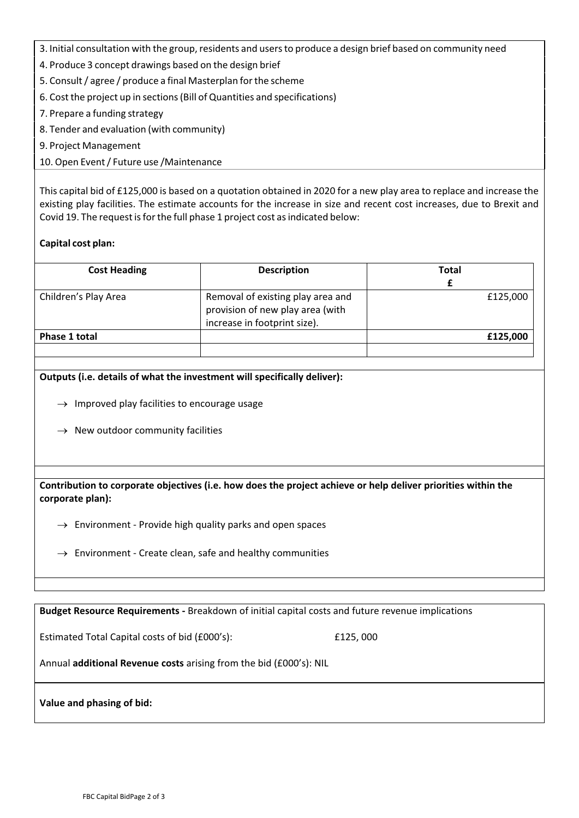- 3. Initial consultation with the group, residents and users to produce a design brief based on community need
- 4. Produce 3 concept drawings based on the design brief
- 5. Consult/ agree / produce a final Masterplan forthe scheme
- 6. Cost the project up in sections(Bill of Quantities and specifications)
- 7. Prepare a funding strategy
- 8. Tender and evaluation (with community)
- 9. Project Management
- 10. Open Event/ Future use /Maintenance

This capital bid of £125,000 is based on a quotation obtained in 2020 for a new play area to replace and increase the existing play facilities. The estimate accounts for the increase in size and recent cost increases, due to Brexit and Covid 19. The request is for the full phase 1 project cost as indicated below:

### **Capital cost plan:**

| <b>Cost Heading</b>  | <b>Description</b>                                                                                    | <b>Total</b> |
|----------------------|-------------------------------------------------------------------------------------------------------|--------------|
| Children's Play Area | Removal of existing play area and<br>provision of new play area (with<br>increase in footprint size). | £125,000     |
| <b>Phase 1 total</b> |                                                                                                       | £125,000     |
|                      |                                                                                                       |              |

#### **Outputs (i.e. details of what the investment will specifically deliver):**

- $\rightarrow$  Improved play facilities to encourage usage
- $\rightarrow$  New outdoor community facilities

**Contribution to corporate objectives (i.e. how does the project achieve or help deliver priorities within the corporate plan):**

- $\rightarrow$  Environment Provide high quality parks and open spaces
- $\rightarrow$  Environment Create clean, safe and healthy communities

**Budget Resource Requirements ‐** Breakdown of initial capital costs and future revenue implications

Estimated Total Capital costs of bid (£000's): £125, 000

Annual **additional Revenue costs** arising from the bid (£000's): NIL

**Value and phasing of bid:**